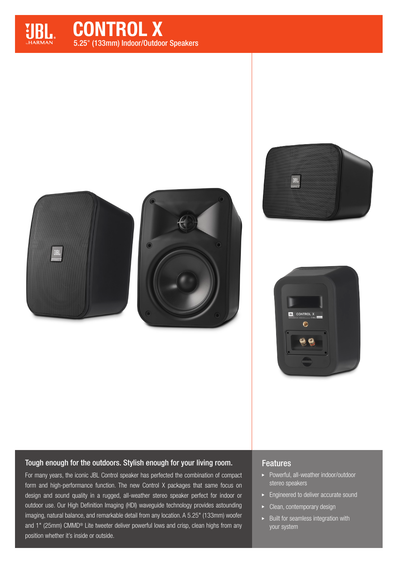

CONTROL X 5.25" (133mm) Indoor/Outdoor Speakers









## Tough enough for the outdoors. Stylish enough for your living room.

For many years, the iconic JBL Control speaker has perfected the combination of compact form and high-performance function. The new Control X packages that same focus on design and sound quality in a rugged, all-weather stereo speaker perfect for indoor or outdoor use. Our High Definition Imaging (HDI) waveguide technology provides astounding imaging, natural balance, and remarkable detail from any location. A 5.25" (133mm) woofer and 1" (25mm) CMMD® Lite tweeter deliver powerful lows and crisp, clean highs from any position whether it's inside or outside.

### Features

- ▶ Powerful, all-weather indoor/outdoor stereo speakers
- Engineered to deliver accurate sound
- Clean, contemporary design
- $\blacktriangleright$  Built for seamless integration with your system